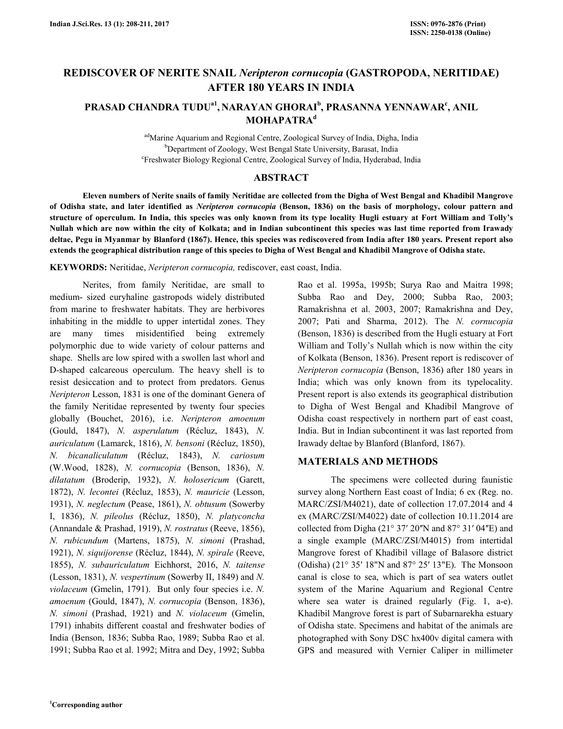# **REDISCOVER OF NERITE SNAIL** *Neripteron cornucopia* **(GASTROPODA, NERITIDAE) AFTER 180 YEARS IN INDIA**

## **PRASAD CHANDRA TUDUa1 , NARAYAN GHORAI<sup>b</sup> , PRASANNA YENNAWAR<sup>c</sup> , ANIL MOHAPATRA<sup>d</sup>**

adMarine Aquarium and Regional Centre, Zoological Survey of India, Digha, India <sup>b</sup>Department of Zoology, West Bengal State University, Barasat, India c Freshwater Biology Regional Centre, Zoological Survey of India, Hyderabad, India

### **ABSTRACT**

 **Eleven numbers of Nerite snails of family Neritidae are collected from the Digha of West Bengal and Khadibil Mangrove of Odisha state, and later identified as** *Neripteron cornucopia* **(Benson, 1836) on the basis of morphology, colour pattern and structure of operculum. In India, this species was only known from its type locality Hugli estuary at Fort William and Tolly's Nullah which are now within the city of Kolkata; and in Indian subcontinent this species was last time reported from Irawady deltae, Pegu in Myanmar by Blanford (1867). Hence, this species was rediscovered from India after 180 years. Present report also extends the geographical distribution range of this species to Digha of West Bengal and Khadibil Mangrove of Odisha state.** 

**KEYWORDS:** Neritidae, *Neripteron cornucopia,* rediscover, east coast, India.

 Nerites, from family Neritidae, are small to medium- sized euryhaline gastropods widely distributed from marine to freshwater habitats. They are herbivores inhabiting in the middle to upper intertidal zones. They are many times misidentified being extremely polymorphic due to wide variety of colour patterns and shape. Shells are low spired with a swollen last whorl and D-shaped calcareous operculum. The heavy shell is to resist desiccation and to protect from predators. Genus *Neripteron* Lesson, 1831 is one of the dominant Genera of the family Neritidae represented by twenty four species globally (Bouchet, 2016), i.e. *Neripteron amoenum*  (Gould, 1847), *N. asperulatum* (Récluz, 1843), *N. auriculatum* (Lamarck, 1816), *N. bensoni* (Récluz, 1850), *N. bicanaliculatum* (Récluz, 1843), *N. cariosum*  (W.Wood, 1828), *N. cornucopia* (Benson, 1836), *N. dilatatum* (Broderip, 1932), *N. holosericum* (Garett, 1872), *N. lecontei* (Récluz, 1853), *N. mauricie* (Lesson, 1931), *N. neglectum* (Pease, 1861), *N. obtusum* (Sowerby I, 1836), *N. pileolus* (Récluz, 1850), *N. platyconcha* (Annandale & Prashad, 1919), *N. rostratus* (Reeve, 1856), *N. rubicundum* (Martens, 1875), *N. simoni* (Prashad, 1921), *N. siquijorense* (Récluz, 1844), *N. spirale* (Reeve, 1855), *N. subauriculatum* Eichhorst, 2016, *N. taitense* (Lesson, 1831), *N. vespertinum* (Sowerby II, 1849) and *N. violaceum* (Gmelin, 1791). But only four species i.e. *N. amoenum* (Gould, 1847), *N. cornucopia* (Benson, 1836), *N. simoni* (Prashad, 1921) and *N. violaceum* (Gmelin, 1791) inhabits different coastal and freshwater bodies of India (Benson, 1836; Subba Rao, 1989; Subba Rao et al. 1991; Subba Rao et al. 1992; Mitra and Dey, 1992; Subba

Rao et al. 1995a, 1995b; Surya Rao and Maitra 1998; Subba Rao and Dey, 2000; Subba Rao, 2003; Ramakrishna et al. 2003, 2007; Ramakrishna and Dey, 2007; Pati and Sharma, 2012). The *N. cornucopia*  (Benson, 1836) is described from the Hugli estuary at Fort William and Tolly's Nullah which is now within the city of Kolkata (Benson, 1836). Present report is rediscover of *Neripteron cornucopia* (Benson, 1836) after 180 years in India; which was only known from its typelocality. Present report is also extends its geographical distribution to Digha of West Bengal and Khadibil Mangrove of Odisha coast respectively in northern part of east coast, India. But in Indian subcontinent it was last reported from Irawady deltae by Blanford (Blanford, 1867).

### **MATERIALS AND METHODS**

 The specimens were collected during faunistic survey along Northern East coast of India; 6 ex (Reg. no. MARC/ZSI/M4021), date of collection 17.07.2014 and 4 ex (MARC/ZSI/M4022) date of collection 10.11.2014 are collected from Digha ( $21^{\circ}$  37'  $20''N$  and  $87^{\circ}$  31'  $04''E$ ) and a single example (MARC/ZSI/M4015) from intertidal Mangrove forest of Khadibil village of Balasore district (Odisha) (21° 35ʹ 18"N and 87° 25ʹ 13"E). The Monsoon canal is close to sea, which is part of sea waters outlet system of the Marine Aquarium and Regional Centre where sea water is drained regularly (Fig. 1, a-e). Khadibil Mangrove forest is part of Subarnarekha estuary of Odisha state. Specimens and habitat of the animals are photographed with Sony DSC hx400v digital camera with GPS and measured with Vernier Caliper in millimeter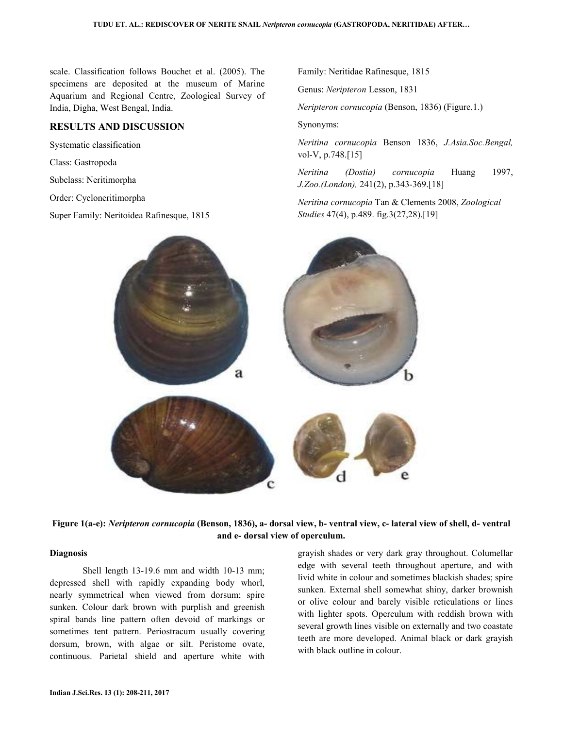scale. Classification follows Bouchet et al. (2005). The specimens are deposited at the museum of Marine Aquarium and Regional Centre, Zoological Survey of India, Digha, West Bengal, India.

### **RESULTS AND DISCUSSION**

Systematic classification

Class: Gastropoda

Subclass: Neritimorpha

Order: Cycloneritimorpha

Super Family: Neritoidea Rafinesque, 1815

Family: Neritidae Rafinesque, 1815

Genus: *Neripteron* Lesson, 1831

*Neripteron cornucopia* (Benson, 1836) (Figure.1.)

Synonyms:

*Neritina cornucopia* Benson 1836, *J.Asia.Soc.Bengal,*  vol-V, p.748.[15]

*Neritina (Dostia) cornucopia* Huang 1997, *J.Zoo.(London),* 241(2), p.343-369.[18]

*Neritina cornucopia* Tan & Clements 2008, *Zoological Studies* 47(4), p.489. fig.3(27,28).[19]





#### **Diagnosis**

 Shell length 13-19.6 mm and width 10-13 mm; depressed shell with rapidly expanding body whorl, nearly symmetrical when viewed from dorsum; spire sunken. Colour dark brown with purplish and greenish spiral bands line pattern often devoid of markings or sometimes tent pattern. Periostracum usually covering dorsum, brown, with algae or silt. Peristome ovate, continuous. Parietal shield and aperture white with

grayish shades or very dark gray throughout. Columellar edge with several teeth throughout aperture, and with livid white in colour and sometimes blackish shades; spire sunken. External shell somewhat shiny, darker brownish or olive colour and barely visible reticulations or lines with lighter spots. Operculum with reddish brown with several growth lines visible on externally and two coastate teeth are more developed. Animal black or dark grayish with black outline in colour.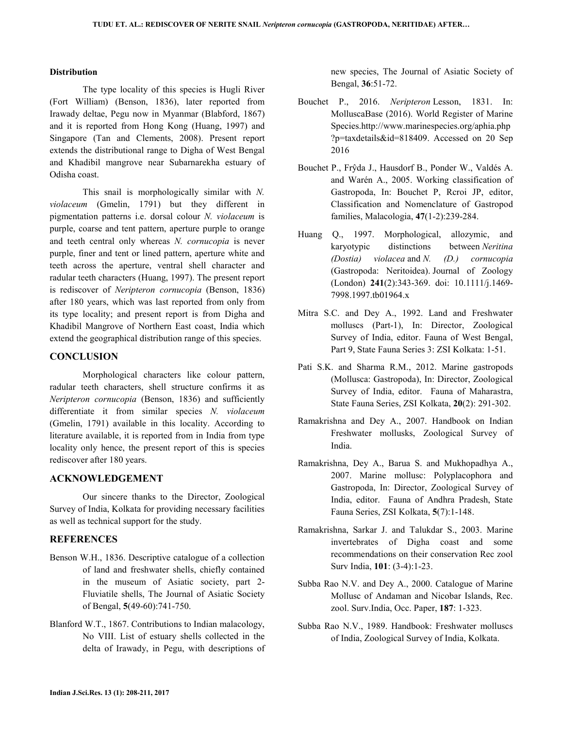### **Distribution**

 The type locality of this species is Hugli River (Fort William) (Benson, 1836), later reported from Irawady deltae, Pegu now in Myanmar (Blabford, 1867) and it is reported from Hong Kong (Huang, 1997) and Singapore (Tan and Clements, 2008). Present report extends the distributional range to Digha of West Bengal and Khadibil mangrove near Subarnarekha estuary of Odisha coast.

This snail is morphologically similar with *N. violaceum* (Gmelin, 1791) but they different in pigmentation patterns i.e. dorsal colour *N. violaceum* is purple, coarse and tent pattern, aperture purple to orange and teeth central only whereas *N. cornucopia* is never purple, finer and tent or lined pattern, aperture white and teeth across the aperture, ventral shell character and radular teeth characters (Huang, 1997). The present report is rediscover of *Neripteron cornucopia* (Benson, 1836) after 180 years, which was last reported from only from its type locality; and present report is from Digha and Khadibil Mangrove of Northern East coast, India which extend the geographical distribution range of this species.

### **CONCLUSION**

 Morphological characters like colour pattern, radular teeth characters, shell structure confirms it as *Neripteron cornucopia* (Benson, 1836) and sufficiently differentiate it from similar species *N. violaceum* (Gmelin, 1791) available in this locality. According to literature available, it is reported from in India from type locality only hence, the present report of this is species rediscover after 180 years.

### **ACKNOWLEDGEMENT**

 Our sincere thanks to the Director, Zoological Survey of India, Kolkata for providing necessary facilities as well as technical support for the study.

### **REFERENCES**

- Benson W.H., 1836. Descriptive catalogue of a collection of land and freshwater shells, chiefly contained in the museum of Asiatic society, part 2- Fluviatile shells, The Journal of Asiatic Society of Bengal, **5**(49-60):741-750.
- Blanford W.T., 1867. Contributions to Indian malacology, No VIII. List of estuary shells collected in the delta of Irawady, in Pegu, with descriptions of

new species, The Journal of Asiatic Society of Bengal, **36**:51-72.

- Bouchet P., 2016. *Neripteron* Lesson, 1831. In: MolluscaBase (2016). World Register of Marine Species.http://www.marinespecies.org/aphia.php ?p=taxdetails&id=818409. Accessed on 20 Sep 2016
- Bouchet P., Frŷda J., Hausdorf B., Ponder W., Valdés A. and Warén A., 2005. Working classification of Gastropoda, In: Bouchet P, Rcroi JP, editor, Classification and Nomenclature of Gastropod families, Malacologia, **47**(1-2):239-284.
- Huang Q., 1997. Morphological, allozymic, and karyotypic distinctions between *Neritina (Dostia) violacea* and *N. (D.) cornucopia*  (Gastropoda: Neritoidea). Journal of Zoology (London) **241**(2):343-369. doi: 10.1111/j.1469- 7998.1997.tb01964.x
- Mitra S.C. and Dey A., 1992. Land and Freshwater molluscs (Part-1), In: Director, Zoological Survey of India, editor. Fauna of West Bengal, Part 9, State Fauna Series 3: ZSI Kolkata: 1-51.
- Pati S.K. and Sharma R.M., 2012. Marine gastropods (Mollusca: Gastropoda), In: Director, Zoological Survey of India, editor. Fauna of Maharastra, State Fauna Series, ZSI Kolkata, **20**(2): 291-302.
- Ramakrishna and Dey A., 2007. Handbook on Indian Freshwater mollusks, Zoological Survey of India.
- Ramakrishna, Dey A., Barua S. and Mukhopadhya A., 2007. Marine mollusc: Polyplacophora and Gastropoda, In: Director, Zoological Survey of India, editor. Fauna of Andhra Pradesh, State Fauna Series, ZSI Kolkata, **5**(7):1-148.
- Ramakrishna, Sarkar J. and Talukdar S., 2003. Marine invertebrates of Digha coast and some recommendations on their conservation Rec zool Surv India, **101**: (3-4):1-23.
- Subba Rao N.V. and Dey A., 2000. Catalogue of Marine Mollusc of Andaman and Nicobar Islands, Rec. zool. Surv.India, Occ. Paper, **187**: 1-323.
- Subba Rao N.V., 1989. Handbook: Freshwater molluscs of India, Zoological Survey of India, Kolkata.